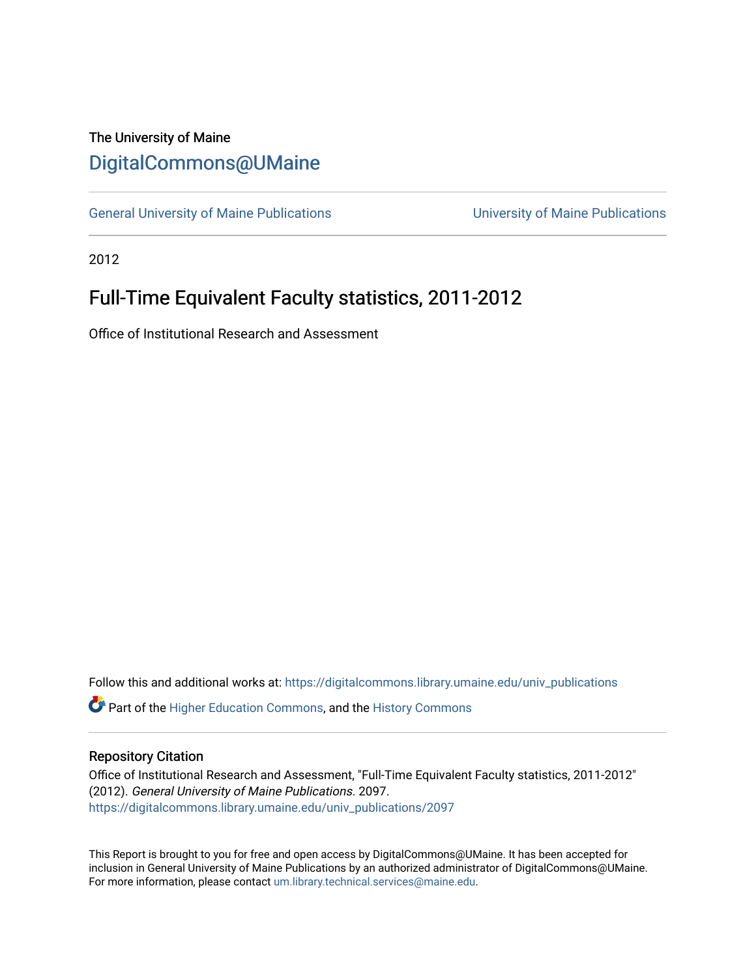## The University of Maine [DigitalCommons@UMaine](https://digitalcommons.library.umaine.edu/)

[General University of Maine Publications](https://digitalcommons.library.umaine.edu/univ_publications) [University of Maine Publications](https://digitalcommons.library.umaine.edu/umaine_publications) 

2012

## Full-Time Equivalent Faculty statistics, 2011-2012

Office of Institutional Research and Assessment

Follow this and additional works at: [https://digitalcommons.library.umaine.edu/univ\\_publications](https://digitalcommons.library.umaine.edu/univ_publications?utm_source=digitalcommons.library.umaine.edu%2Funiv_publications%2F2097&utm_medium=PDF&utm_campaign=PDFCoverPages) 

**C** Part of the [Higher Education Commons,](http://network.bepress.com/hgg/discipline/1245?utm_source=digitalcommons.library.umaine.edu%2Funiv_publications%2F2097&utm_medium=PDF&utm_campaign=PDFCoverPages) and the [History Commons](http://network.bepress.com/hgg/discipline/489?utm_source=digitalcommons.library.umaine.edu%2Funiv_publications%2F2097&utm_medium=PDF&utm_campaign=PDFCoverPages)

## Repository Citation

Office of Institutional Research and Assessment, "Full-Time Equivalent Faculty statistics, 2011-2012" (2012). General University of Maine Publications. 2097. [https://digitalcommons.library.umaine.edu/univ\\_publications/2097](https://digitalcommons.library.umaine.edu/univ_publications/2097?utm_source=digitalcommons.library.umaine.edu%2Funiv_publications%2F2097&utm_medium=PDF&utm_campaign=PDFCoverPages)

This Report is brought to you for free and open access by DigitalCommons@UMaine. It has been accepted for inclusion in General University of Maine Publications by an authorized administrator of DigitalCommons@UMaine. For more information, please contact [um.library.technical.services@maine.edu](mailto:um.library.technical.services@maine.edu).